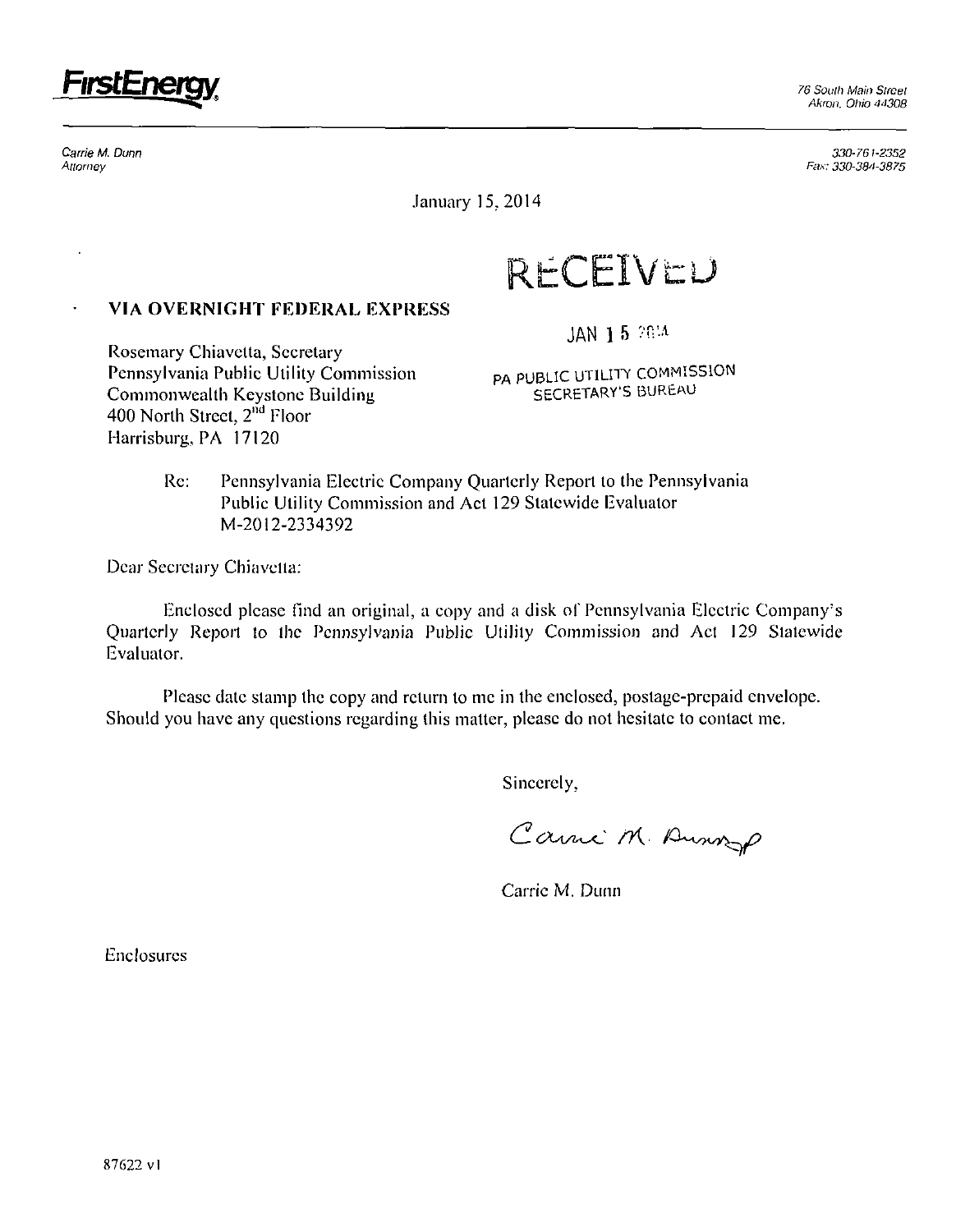

Carrie M. Dunn **Allorney** 

330-761-2352 Fax: 330-384-3875

January 15,2014

**RECEIVED** 

## **VIA OVERNIGHT FEDERAL EXPRESS**

Rosemary Chiavetta, Secretary Pennsylvania Public Utility Commission Commonwealth Keystone Building 400 North Street, 2<sup>nd</sup> Floor Harrisburg., PA 17120

JAN 15 2014

PA PUBLIC UTILITY COMMISSION SECRETARY'S BUREAU

Re: Pennsylvania Electric Company Quarterly Report to the Pennsylvania Public Utility Commission and Act 129 Statewide Evaluator M-2012-2334392

Dear Secretary Chiavella:

Enclosed please find an original, a copy and a disk of Pennsylvania Electric Company's Quarterly Report to the Pennsylvania Public Utility Commission and Act 129 Statewide Evaluator.

Please date stamp the copy and return to mc in the enclosed, postage-prepaid envelope. Should you have any questions regarding this matter, please do not hesitate to contact me.

Sincerely,

Carrie M. Anna

Carrie M. Dunn

Enclosures